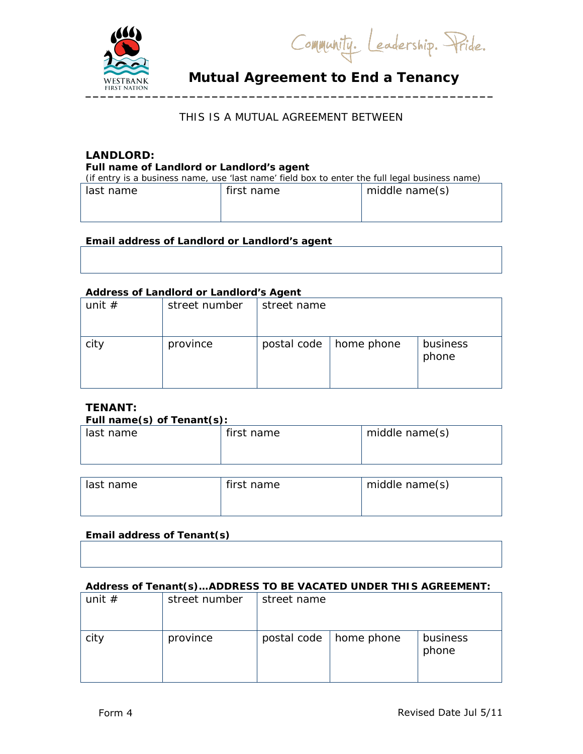

Community. Leadership. Pride.

# **Mutual Agreement to End a Tenancy**

## THIS IS A MUTUAL AGREEMENT BETWEEN

# **LANDLORD:**

**Full name of Landlord or Landlord's agent**

| (if entry is a business name, use 'last name' field box to enter the full legal business name) |              |                |  |
|------------------------------------------------------------------------------------------------|--------------|----------------|--|
| last name                                                                                      | l first name | middle name(s) |  |

### **Email address of Landlord or Landlord's agent**

| __ |
|----|
|    |
|    |
|    |
|    |
|    |
|    |
|    |
|    |
|    |
|    |
|    |

#### **Address of Landlord or Landlord's Agent**

| unit $#$ | street number | street name |                          |                   |
|----------|---------------|-------------|--------------------------|-------------------|
| city     | province      |             | postal code   home phone | business<br>phone |

# **TENANT:**

#### **Full name(s) of Tenant(s):**

| _ _ _ _ _ _ _ _ _ _ _ |            |                |
|-----------------------|------------|----------------|
| last name             | first name | middle name(s) |
|                       |            |                |
|                       |            |                |
|                       |            |                |

| last name | first name | middle name(s) |
|-----------|------------|----------------|
|           |            |                |

### **Email address of Tenant(s)**

#### **Address of Tenant(s)…ADDRESS TO BE VACATED UNDER THIS AGREEMENT:**

| unit $#$ | street number | street name |            |                   |
|----------|---------------|-------------|------------|-------------------|
| city     | province      | postal code | home phone | business<br>phone |